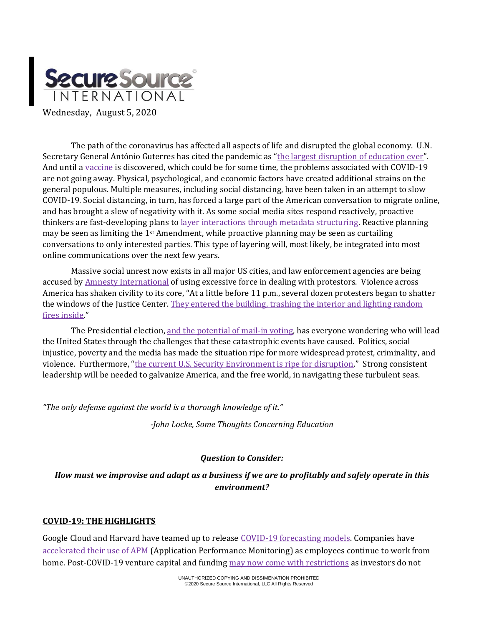

The path of the coronavirus has affected all aspects of life and disrupted the global economy. U.N. Secretary General António Guterres has cited the pandemic as "[the largest disruption of education ever](https://www.msn.com/en-us/news/world/closing-schools-around-the-world-could-cause-a-generational-catastrophe-u-n-secretary-general-warns/ar-BB17ySQp?ocid=hponeservicefeed)". And until [a vaccine](https://www.al.com/news/2020/08/coronavirus-update-covid-19-vaccine-ready-by-end-of-year-early-2021-fauci-says.html) is discovered, which could be for some time, the problems associated with COVID-19 are not going away. Physical, psychological, and economic factors have created additional strains on the general populous. Multiple measures, including social distancing, have been taken in an attempt to slow COVID-19. Social distancing, in turn, has forced a large part of the American conversation to migrate online, and has brought a slew of negativity with it. As some social media sites respond reactively, proactive thinkers are fast-developing plans t[o layer interactions through metadata structuring.](https://homes.cs.washington.edu/~axz/papers/PhDThesisFinal.pdf) Reactive planning may be seen as limiting the 1st Amendment, while proactive planning may be seen as curtailing conversations to only interested parties. This type of layering will, most likely, be integrated into most online communications over the next few years.

Massive social unrest now exists in all major US cities, and law enforcement agencies are being accused by [Amnesty International](https://www.foxnews.com/us/amnesty-international-police-force-protests) of using excessive force in dealing with protestors. Violence across America has shaken civility to its core, "At a little before 11 p.m., several dozen protesters began to shatter the windows of the Justice Center[. They entered the building, trashing the interior and lighting random](https://www.bellingcat.com/news/americas/2020/07/20/what-you-need-to-know-about-the-battle-of-portland/)  [fires inside.](https://www.bellingcat.com/news/americas/2020/07/20/what-you-need-to-know-about-the-battle-of-portland/)"

The Presidential election[, and the potential of mail-in voting,](https://journalistsresource.org/studies/politics/elections/election-beat-2020-mail-in-voting/?utm_source=feedburner&utm_medium=feed&utm_campaign=Feed%3A+journalistsresource+%28Journalist%27s+Resource%29) has everyone wondering who will lead the United States through the challenges that these catastrophic events have caused. Politics, social injustice, poverty and the media has made the situation ripe for more widespread protest, criminality, and violence. Furthermore, "[the current U.S. Security Environment is ripe for disruption](https://thestrategybridge.org/the-bridge/2020/8/3/managing-chaos-biosecurity-in-a-post-covid-19-america)." Strong consistent leadership will be needed to galvanize America, and the free world, in navigating these turbulent seas.

*"The only defense against the world is a thorough knowledge of it."*

*-John Locke, Some Thoughts Concerning Education*

# *Question to Consider:*

# *How must we improvise and adapt as a business if we are to profitably and safely operate in this environment?*

### **COVID-19: THE HIGHLIGHTS**

Google Cloud and Harvard have teamed up to releas[e COVID-19 forecasting models.](https://cloud.google.com/blog/products/ai-machine-learning/google-cloud-is-releasing-the-covid-19-public-forecasts) Companies have [accelerated their use of APM](file:///C:/Users/theNa/AppData/Local/Microsoft/Windows/INetCache/Content.Outlook/5VFWQ1XZ/.%20%20https:/haydenjames.io/20-leading-companies-share-how-covid-19-is-accelerating-the-future-of-apm) (Application Performance Monitoring) as employees continue to work from home. Post-COVID-19 venture capital and funding [may now come with restrictions](https://rapidly.co/blog/founders-journey-fundraising-venture-capital-during-covid-19/) as investors do not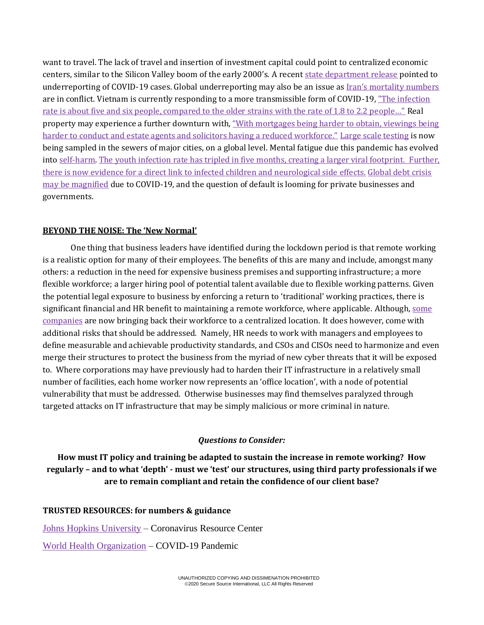want to travel. The lack of travel and insertion of investment capital could point to centralized economic centers, similar to the Silicon Valley boom of the early 2000's. A recent [state department release](https://www.sccgov.org/sites/covid19/Pages/dashboard.aspx) pointed to underreporting of COVID-19 cases. Global underreporting may also be an issue as [Iran's mortality numbers](https://www.bbc.com/news/world-middle-east-53598965) are in conflict. Vietnam is currently responding to a more transmissible form of COVID-19, "The infection rate is about five and six people, compared to the older strains with the rate of 1.8 to 2.2 people..." Real property may experience a further downturn with, ["With mortgages being harder to obtain, viewings being](https://propprices.com/blog/the-effect-of-covid-19-on-the-property-industry)  [harder to conduct and estate agents and solicitors having a reduced workforce."](https://propprices.com/blog/the-effect-of-covid-19-on-the-property-industry) [Large scale testing](https://www.routefifty.com/tech-data/2020/07/track-prevalence-covid-19-cities-sewers/167354/) is now being sampled in the sewers of major cities, on a global level. Mental fatigue due this pandemic has evolved into [self-harm.](https://www.scmp.com/news/asia/southeast-asia/article/3096184/coronavirus-singapore-migrant-workers-self-harm-raises) [The youth infection rate has tripled in five months, creating a larger viral footprint. F](https://www.reuters.com/article/us-health-coronavirus-youth/proportion-of-youth-with-covid-19-triples-in-five-months-who-idUSKCN2502FS)urther, there is now evidence for a direct link to infected children and [neurological side effects.](https://www.nbcnews.com/health/health-news/covid-19-children-doctors-see-link-between-virus-neurological-side-n1235501) [Global debt crisis](https://www.theguardian.com/business/2020/aug/03/global-debt-crisis-relief-coronavirus-pandemic)  [may be magnified](https://www.theguardian.com/business/2020/aug/03/global-debt-crisis-relief-coronavirus-pandemic) due to COVID-19, and the question of default is looming for private businesses and governments.

### **BEYOND THE NOISE: The 'New Normal'**

One thing that business leaders have identified during the lockdown period is that remote working is a realistic option for many of their employees. The benefits of this are many and include, amongst many others: a reduction in the need for expensive business premises and supporting infrastructure; a more flexible workforce; a larger hiring pool of potential talent available due to flexible working patterns. Given the potential legal exposure to business by enforcing a return to 'traditional' working practices, there is significant financial and HR benefit to maintaining a remote workforce, where applicable. Although, some [companies](https://www.wpr.org/node/1678186) are now bringing back their workforce to a centralized location. It does however, come with additional risks that should be addressed. Namely, HR needs to work with managers and employees to define measurable and achievable productivity standards, and CSOs and CISOs need to harmonize and even merge their structures to protect the business from the myriad of new cyber threats that it will be exposed to. Where corporations may have previously had to harden their IT infrastructure in a relatively small number of facilities, each home worker now represents an 'office location', with a node of potential vulnerability that must be addressed. Otherwise businesses may find themselves paralyzed through targeted attacks on IT infrastructure that may be simply malicious or more criminal in nature.

## *Questions to Consider:*

**How must IT policy and training be adapted to sustain the increase in remote working? How regularly – and to what 'depth' - must we 'test' our structures, using third party professionals if we are to remain compliant and retain the confidence of our client base?**

### **TRUSTED RESOURCES: for numbers & guidance**

[Johns Hopkins University](https://coronavirus.jhu.edu/map.html) – Coronavirus Resource Center [World Health Organization](https://www.who.int/emergencies/diseases/novel-coronavirus-2019) – COVID-19 Pandemic